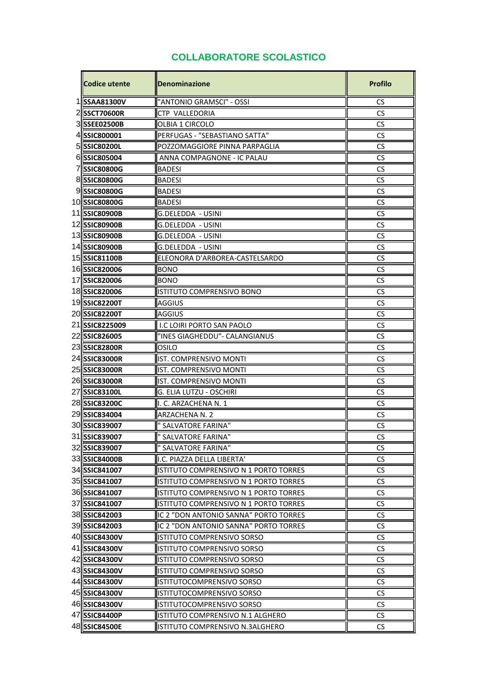## **COLLABORATORE SCOLASTICO**

| <b>Codice utente</b> | <b>Denominazione</b>                  | <b>Profilo</b> |
|----------------------|---------------------------------------|----------------|
| 1  SSAA81300V        | "ANTONIO GRAMSCI" - OSSI              | <b>CS</b>      |
| 2SSCT70600R          | CTP VALLEDORIA                        | <b>CS</b>      |
| 3 SEE02500B          | OLBIA 1 CIRCOLO                       | <b>CS</b>      |
| 4 SSIC800001         | PERFUGAS - "SEBASTIANO SATTA"         | CS             |
| 5 SIC80200L          | POZZOMAGGIORE PINNA PARPAGLIA         | <b>CS</b>      |
| 6 SIC805004          | ANNA COMPAGNONE - IC PALAU            | CS             |
| 7 SIC80800G          | <b>BADESI</b>                         | CS             |
| 8 SIC80800G          | <b>BADESI</b>                         | CS             |
| 9SSIC80800G          | <b>BADESI</b>                         | <b>CS</b>      |
| 10 SSIC80800G        | <b>BADESI</b>                         | CS             |
| 11  SSIC80900B       | G.DELEDDA - USINI                     | CS             |
| 12 SIC80900B         | G.DELEDDA - USINI                     | CS             |
| 13 SIC80900B         | G.DELEDDA - USINI                     | <b>CS</b>      |
| 14 SSIC80900B        | G.DELEDDA - USINI                     | CS             |
| 15SSIC81100B         | ELEONORA D'ARBOREA-CASTELSARDO        | CS             |
| 16 SSIC820006        | <b>BONO</b>                           | CS             |
| 17 SSIC820006        | BONO                                  | CS             |
| 18 SSIC820006        | ISTITUTO COMPRENSIVO BONO             | <b>CS</b>      |
| 19SSIC82200T         | <b>AGGIUS</b>                         | CS             |
| 20 SSIC82200T        | AGGIUS                                | <b>CS</b>      |
| 21 SSIC8225009       | I.C LOIRI PORTO SAN PAOLO             | <b>CS</b>      |
| 22 SSIC826005        | "INES GIAGHEDDU"- CALANGIANUS         | CS             |
| 23 SSIC82800R        | OSILO                                 | <b>CS</b>      |
| 24 SSIC83000R        | IST. COMPRENSIVO MONTI                | CS             |
| 25 SIC83000R         | IST. COMPRENSIVO MONTI                | CS             |
| 26 SSIC83000R        | <b>IST. COMPRENSIVO MONTI</b>         | CS             |
| 27 SSIC83100L        | G. ELIA LUTZU - OSCHIRI               | <b>CS</b>      |
| 28 SSIC83200C        | II. C. ARZACHENA N. 1                 | <b>CS</b>      |
| 29 SSIC834004        | <b>ARZACHENA N. 2</b>                 | CS             |
| 30 SSIC839007        | <b>SALVATORE FARINA"</b>              | <b>CS</b>      |
| 31 SSIC839007        | <b>SALVATORE FARINA"</b>              | CS             |
| 32 SSIC839007        | " SALVATORE FARINA"                   | CS             |
| 33 SSIC84000B        | I.C. PIAZZA DELLA LIBERTA'            | <b>CS</b>      |
| 34 SSIC841007        | ISTITUTO COMPRENSIVO N 1 PORTO TORRES | CS             |
| 35 SIC841007         | ISTITUTO COMPRENSIVO N 1 PORTO TORRES | <b>CS</b>      |
| 36 SSIC841007        | ISTITUTO COMPRENSIVO N 1 PORTO TORRES | <b>CS</b>      |
| 37 SSIC841007        | ISTITUTO COMPRENSIVO N 1 PORTO TORRES | <b>CS</b>      |
| 38 SSIC842003        | IC 2 "DON ANTONIO SANNA" PORTO TORRES | <b>CS</b>      |
| 39 SSIC842003        | IC 2 "DON ANTONIO SANNA" PORTO TORRES | <b>CS</b>      |
| 40 SSIC84300V        | ISTITUTO COMPRENSIVO SORSO            | <b>CS</b>      |
| 41 SSIC84300V        | ISTITUTO COMPRENSIVO SORSO            | <b>CS</b>      |
| 42 SSIC84300V        | ISTITUTO COMPRENSIVO SORSO            | CS             |
| 43 SSIC84300V        | <b>ISTITUTO COMPRENSIVO SORSO</b>     | <b>CS</b>      |
| 44 SSIC84300V        | ISTITUTOCOMPRENSIVO SORSO             | CS             |
| 45 SIC84300V         | ISTITUTOCOMPRENSIVO SORSO             | CS             |
| 46 SSIC84300V        | ISTITUTOCOMPRENSIVO SORSO             | <b>CS</b>      |
| 47 SSIC84400P        | ISTITUTO COMPRENSIVO N.1 ALGHERO      | <b>CS</b>      |
| 48 SSIC84500E        | ISTITUTO COMPRENSIVO N.3ALGHERO       | <b>CS</b>      |